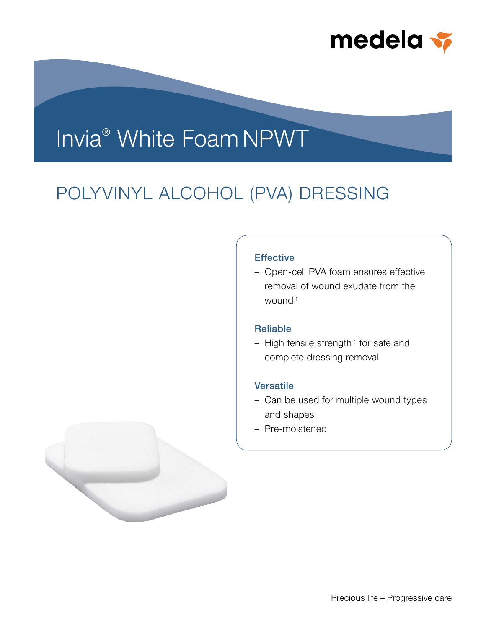

# Invia® White Foam NPWT

## POLYVINYL ALCOHOL (PVA) DRESSING

### **Effective**

– Open-cell PVA foam ensures effective removal of wound exudate from the wound <sup>1</sup>

## Reliable

 $-$  High tensile strength<sup>1</sup> for safe and complete dressing removal

## Versatile

- Can be used for multiple wound types and shapes
- Pre-moistened